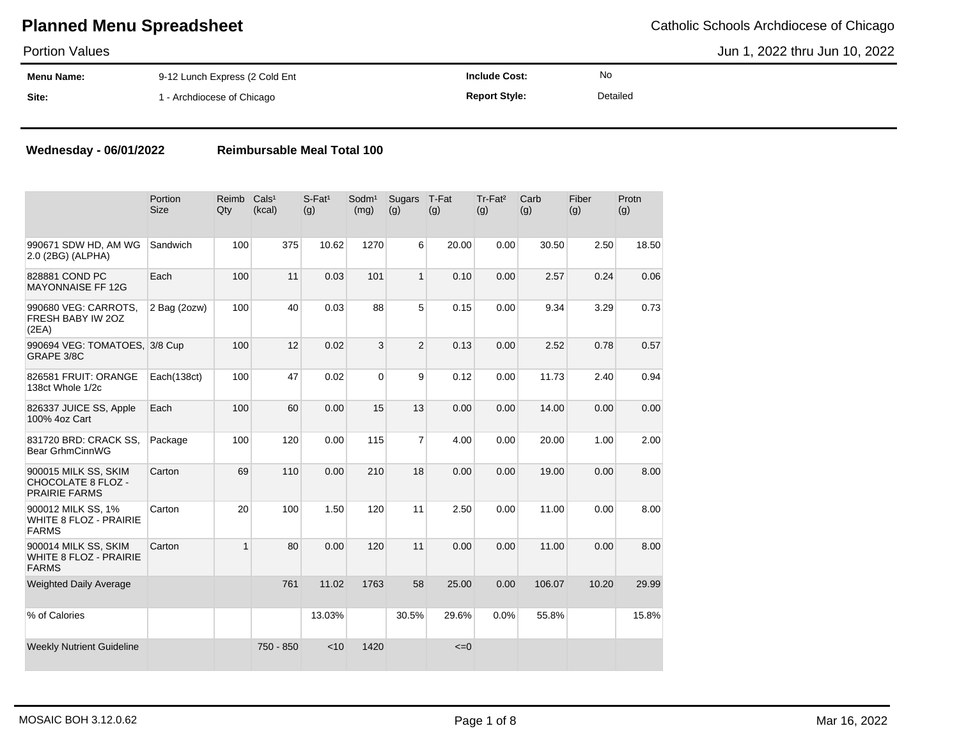Portion Values

Jun 1, 2022 thru Jun 10, 2022

| .                 |                                |               |          |  |
|-------------------|--------------------------------|---------------|----------|--|
| <b>Menu Name:</b> | 9-12 Lunch Express (2 Cold Ent | າclude Cost:  | No       |  |
| Site:             | - Archdiocese of Chicago       | Peport Style: | Detailed |  |

### **Wednesday - 06/01/2022 Reimbursable Meal Total 100**

|                                                                           | Portion<br><b>Size</b> | Reimb<br>Qty | Cals <sup>1</sup><br>(kcal) | $S$ -Fat <sup>1</sup><br>(g) | Sodm <sup>1</sup><br>(mg) | Sugars<br>(g)  | T-Fat<br>(g) | Tr-Fat <sup>2</sup><br>(g) | Carb<br>(g) | Fiber<br>(g) | Protn<br>(g) |
|---------------------------------------------------------------------------|------------------------|--------------|-----------------------------|------------------------------|---------------------------|----------------|--------------|----------------------------|-------------|--------------|--------------|
| 990671 SDW HD, AM WG<br>2.0 (2BG) (ALPHA)                                 | Sandwich               | 100          | 375                         | 10.62                        | 1270                      | 6              | 20.00        | 0.00                       | 30.50       | 2.50         | 18.50        |
| 828881 COND PC<br><b>MAYONNAISE FF 12G</b>                                | Each                   | 100          | 11                          | 0.03                         | 101                       | $\mathbf{1}$   | 0.10         | 0.00                       | 2.57        | 0.24         | 0.06         |
| 990680 VEG: CARROTS,<br>FRESH BABY IW 20Z<br>(2EA)                        | 2 Bag (2ozw)           | 100          | 40                          | 0.03                         | 88                        | 5              | 0.15         | 0.00                       | 9.34        | 3.29         | 0.73         |
| 990694 VEG: TOMATOES, 3/8 Cup<br>GRAPE 3/8C                               |                        | 100          | 12                          | 0.02                         | 3                         | $\overline{2}$ | 0.13         | 0.00                       | 2.52        | 0.78         | 0.57         |
| 826581 FRUIT: ORANGE<br>138ct Whole 1/2c                                  | Each(138ct)            | 100          | 47                          | 0.02                         | $\Omega$                  | 9              | 0.12         | 0.00                       | 11.73       | 2.40         | 0.94         |
| 826337 JUICE SS, Apple<br>100% 4oz Cart                                   | Each                   | 100          | 60                          | 0.00                         | 15                        | 13             | 0.00         | 0.00                       | 14.00       | 0.00         | 0.00         |
| 831720 BRD: CRACK SS.<br>Bear GrhmCinnWG                                  | Package                | 100          | 120                         | 0.00                         | 115                       | $\overline{7}$ | 4.00         | 0.00                       | 20.00       | 1.00         | 2.00         |
| 900015 MILK SS, SKIM<br><b>CHOCOLATE 8 FLOZ -</b><br><b>PRAIRIE FARMS</b> | Carton                 | 69           | 110                         | 0.00                         | 210                       | 18             | 0.00         | 0.00                       | 19.00       | 0.00         | 8.00         |
| 900012 MILK SS, 1%<br><b>WHITE 8 FLOZ - PRAIRIE</b><br><b>FARMS</b>       | Carton                 | 20           | 100                         | 1.50                         | 120                       | 11             | 2.50         | 0.00                       | 11.00       | 0.00         | 8.00         |
| 900014 MILK SS, SKIM<br><b>WHITE 8 FLOZ - PRAIRIE</b><br><b>FARMS</b>     | Carton                 | $\mathbf{1}$ | 80                          | 0.00                         | 120                       | 11             | 0.00         | 0.00                       | 11.00       | 0.00         | 8.00         |
| <b>Weighted Daily Average</b>                                             |                        |              | 761                         | 11.02                        | 1763                      | 58             | 25.00        | 0.00                       | 106.07      | 10.20        | 29.99        |
| % of Calories                                                             |                        |              |                             | 13.03%                       |                           | 30.5%          | 29.6%        | 0.0%                       | 55.8%       |              | 15.8%        |
| <b>Weekly Nutrient Guideline</b>                                          |                        |              | 750 - 850                   | < 10                         | 1420                      |                | $\leq$ =0    |                            |             |              |              |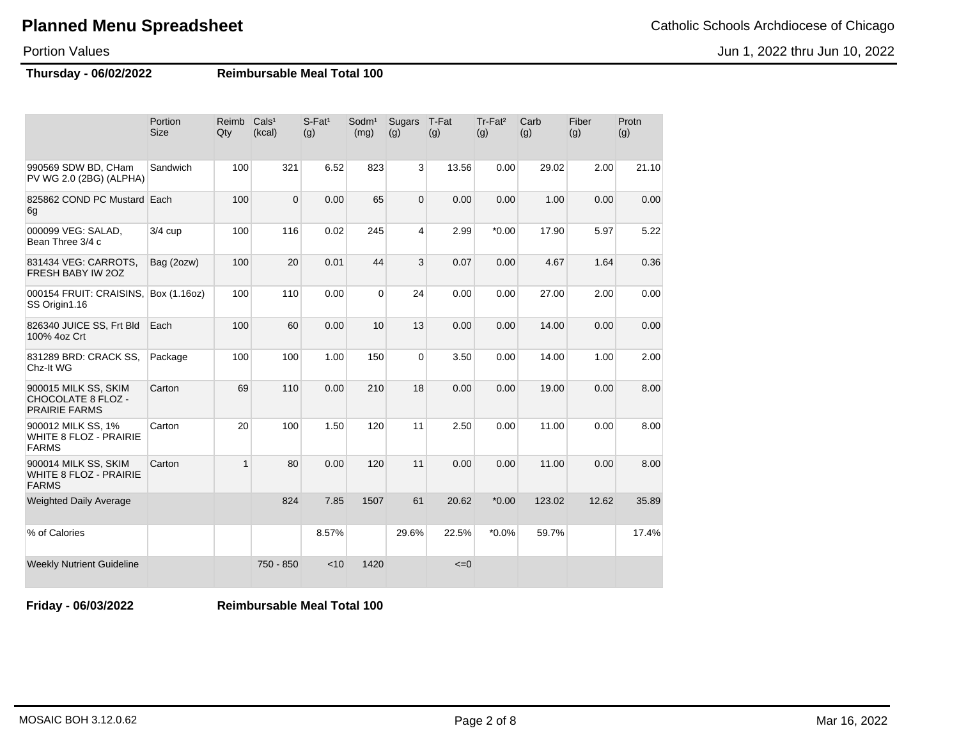#### Jun 1, 2022 thru Jun 10, 2022

### **Planned Menu Spreadsheet** Catholic Schools Archdiocese of Chicago

### Portion Values

**Thursday - 06/02/2022 Reimbursable Meal Total 100**

|                                                                       | Portion<br><b>Size</b> | Reimb<br>Qty | Cals <sup>1</sup><br>(kcal) | $S$ -Fat <sup>1</sup><br>(g) | Sodm <sup>1</sup><br>(mg) | Sugars<br>(g)  | T-Fat<br>(g) | Tr-Fat <sup>2</sup><br>(g) | Carb<br>(g) | Fiber<br>(g) | Protn<br>(g) |
|-----------------------------------------------------------------------|------------------------|--------------|-----------------------------|------------------------------|---------------------------|----------------|--------------|----------------------------|-------------|--------------|--------------|
| 990569 SDW BD, CHam<br>PV WG 2.0 (2BG) (ALPHA)                        | Sandwich               | 100          | 321                         | 6.52                         | 823                       | 3              | 13.56        | 0.00                       | 29.02       | 2.00         | 21.10        |
| 825862 COND PC Mustard Each<br>6g                                     |                        | 100          | $\Omega$                    | 0.00                         | 65                        | $\overline{0}$ | 0.00         | 0.00                       | 1.00        | 0.00         | 0.00         |
| 000099 VEG: SALAD,<br>Bean Three 3/4 c                                | $3/4$ cup              | 100          | 116                         | 0.02                         | 245                       | 4              | 2.99         | $*0.00$                    | 17.90       | 5.97         | 5.22         |
| 831434 VEG: CARROTS,<br>FRESH BABY IW 20Z                             | Bag (2ozw)             | 100          | 20                          | 0.01                         | 44                        | 3              | 0.07         | 0.00                       | 4.67        | 1.64         | 0.36         |
| 000154 FRUIT: CRAISINS.<br>SS Origin1.16                              | Box (1.16oz)           | 100          | 110                         | 0.00                         | $\mathbf 0$               | 24             | 0.00         | 0.00                       | 27.00       | 2.00         | 0.00         |
| 826340 JUICE SS, Frt Bld<br>100% 4oz Crt                              | Each                   | 100          | 60                          | 0.00                         | 10                        | 13             | 0.00         | 0.00                       | 14.00       | 0.00         | 0.00         |
| 831289 BRD: CRACK SS,<br>Chz-It WG                                    | Package                | 100          | 100                         | 1.00                         | 150                       | 0              | 3.50         | 0.00                       | 14.00       | 1.00         | 2.00         |
| 900015 MILK SS, SKIM<br>CHOCOLATE 8 FLOZ -<br><b>PRAIRIE FARMS</b>    | Carton                 | 69           | 110                         | 0.00                         | 210                       | 18             | 0.00         | 0.00                       | 19.00       | 0.00         | 8.00         |
| 900012 MILK SS, 1%<br><b>WHITE 8 FLOZ - PRAIRIE</b><br><b>FARMS</b>   | Carton                 | 20           | 100                         | 1.50                         | 120                       | 11             | 2.50         | 0.00                       | 11.00       | 0.00         | 8.00         |
| 900014 MILK SS, SKIM<br><b>WHITE 8 FLOZ - PRAIRIE</b><br><b>FARMS</b> | Carton                 | $\mathbf{1}$ | 80                          | 0.00                         | 120                       | 11             | 0.00         | 0.00                       | 11.00       | 0.00         | 8.00         |
| <b>Weighted Daily Average</b>                                         |                        |              | 824                         | 7.85                         | 1507                      | 61             | 20.62        | $*0.00$                    | 123.02      | 12.62        | 35.89        |
| % of Calories                                                         |                        |              |                             | 8.57%                        |                           | 29.6%          | 22.5%        | $*0.0\%$                   | 59.7%       |              | 17.4%        |
| <b>Weekly Nutrient Guideline</b>                                      |                        |              | 750 - 850                   | < 10                         | 1420                      |                | $\leq=0$     |                            |             |              |              |

**Friday - 06/03/2022 Reimbursable Meal Total 100**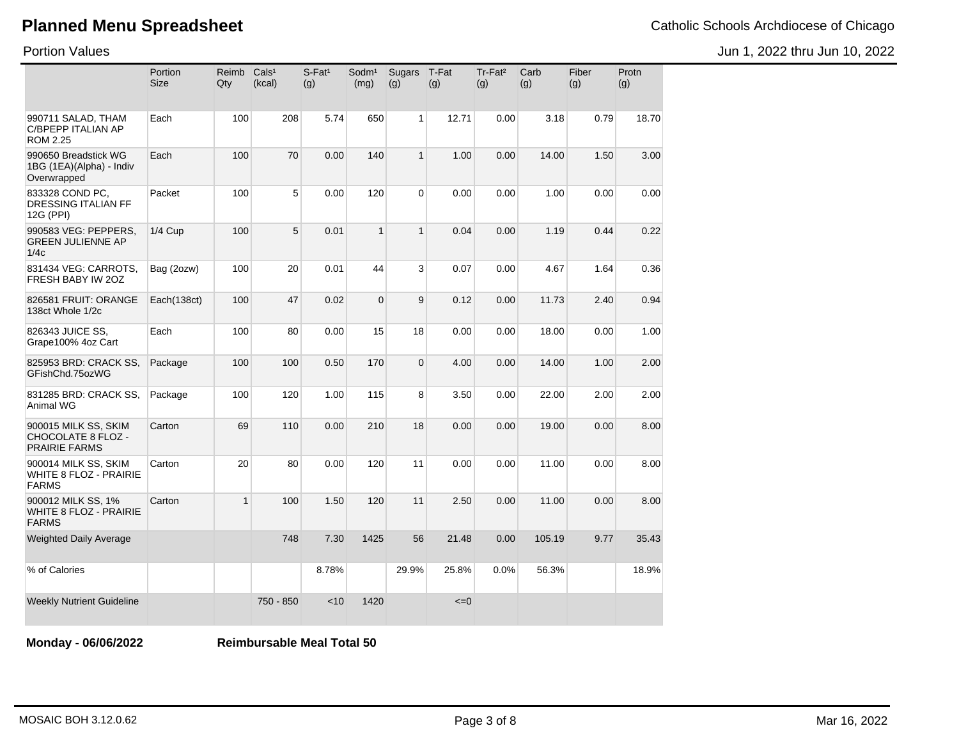Jun 1, 2022 thru Jun 10, 2022

Portion Values

|                                                                     | Portion<br><b>Size</b> | Reimb<br>Qty | Cals <sup>1</sup><br>(kcal) | $S$ -Fat <sup>1</sup><br>(g) | Sodm <sup>1</sup><br>(mg) | Sugars<br>(g)  | T-Fat<br>(g) | Tr-Fat <sup>2</sup><br>(g) | Carb<br>(g) | Fiber<br>(g) | Protn<br>(g) |
|---------------------------------------------------------------------|------------------------|--------------|-----------------------------|------------------------------|---------------------------|----------------|--------------|----------------------------|-------------|--------------|--------------|
| 990711 SALAD, THAM<br>C/BPEPP ITALIAN AP<br>ROM 2.25                | Each                   | 100          | 208                         | 5.74                         | 650                       | 1              | 12.71        | 0.00                       | 3.18        | 0.79         | 18.70        |
| 990650 Breadstick WG<br>1BG (1EA)(Alpha) - Indiv<br>Overwrapped     | Each                   | 100          | 70                          | 0.00                         | 140                       | $\mathbf{1}$   | 1.00         | 0.00                       | 14.00       | 1.50         | 3.00         |
| 833328 COND PC,<br>DRESSING ITALIAN FF<br>12G (PPI)                 | Packet                 | 100          | 5                           | 0.00                         | 120                       | $\Omega$       | 0.00         | 0.00                       | 1.00        | 0.00         | 0.00         |
| 990583 VEG: PEPPERS,<br><b>GREEN JULIENNE AP</b><br>1/4c            | <b>1/4 Cup</b>         | 100          | 5                           | 0.01                         | $\mathbf{1}$              | $\mathbf{1}$   | 0.04         | 0.00                       | 1.19        | 0.44         | 0.22         |
| 831434 VEG: CARROTS,<br>FRESH BABY IW 20Z                           | Bag (2ozw)             | 100          | 20                          | 0.01                         | 44                        | 3              | 0.07         | 0.00                       | 4.67        | 1.64         | 0.36         |
| 826581 FRUIT: ORANGE<br>138ct Whole 1/2c                            | Each(138ct)            | 100          | 47                          | 0.02                         | $\mathbf 0$               | 9              | 0.12         | 0.00                       | 11.73       | 2.40         | 0.94         |
| 826343 JUICE SS,<br>Grape100% 4oz Cart                              | Each                   | 100          | 80                          | 0.00                         | 15                        | 18             | 0.00         | 0.00                       | 18.00       | 0.00         | 1.00         |
| 825953 BRD: CRACK SS.<br>GFishChd.75ozWG                            | Package                | 100          | 100                         | 0.50                         | 170                       | $\overline{0}$ | 4.00         | 0.00                       | 14.00       | 1.00         | 2.00         |
| 831285 BRD: CRACK SS,<br>Animal WG                                  | Package                | 100          | 120                         | 1.00                         | 115                       | 8              | 3.50         | 0.00                       | 22.00       | 2.00         | 2.00         |
| 900015 MILK SS, SKIM<br>CHOCOLATE 8 FLOZ -<br><b>PRAIRIE FARMS</b>  | Carton                 | 69           | 110                         | 0.00                         | 210                       | 18             | 0.00         | 0.00                       | 19.00       | 0.00         | 8.00         |
| 900014 MILK SS, SKIM<br>WHITE 8 FLOZ - PRAIRIE<br><b>FARMS</b>      | Carton                 | 20           | 80                          | 0.00                         | 120                       | 11             | 0.00         | 0.00                       | 11.00       | 0.00         | 8.00         |
| 900012 MILK SS, 1%<br><b>WHITE 8 FLOZ - PRAIRIE</b><br><b>FARMS</b> | Carton                 | 1            | 100                         | 1.50                         | 120                       | 11             | 2.50         | 0.00                       | 11.00       | 0.00         | 8.00         |
| <b>Weighted Daily Average</b>                                       |                        |              | 748                         | 7.30                         | 1425                      | 56             | 21.48        | 0.00                       | 105.19      | 9.77         | 35.43        |
| % of Calories                                                       |                        |              |                             | 8.78%                        |                           | 29.9%          | 25.8%        | 0.0%                       | 56.3%       |              | 18.9%        |
| <b>Weekly Nutrient Guideline</b>                                    |                        |              | 750 - 850                   | < 10                         | 1420                      |                | $\leq=0$     |                            |             |              |              |

**Monday - 06/06/2022 Reimbursable Meal Total 50**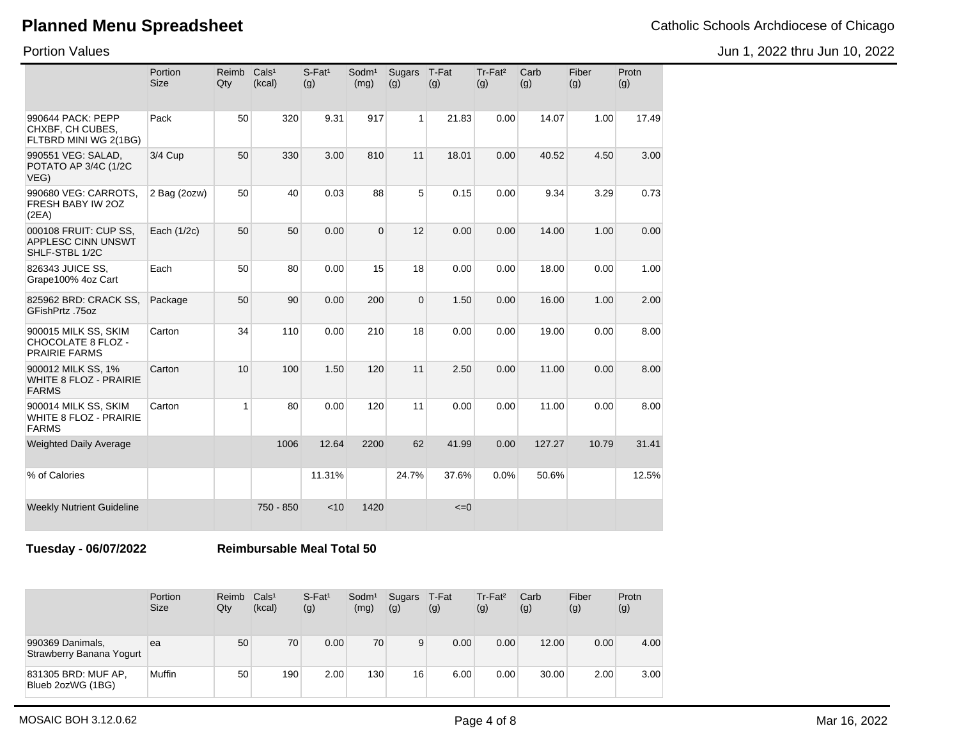Portion Values

Jun 1, 2022 thru Jun 10, 2022

|                                                                       | Portion<br><b>Size</b> | Reimb<br>Qty | Cals <sup>1</sup><br>(kcal) | $S$ -Fat <sup>1</sup><br>(g) | Sodm <sup>1</sup><br>(mg) | Sugars<br>(g)  | T-Fat<br>(g) | Tr-Fat <sup>2</sup><br>(g) | Carb<br>(g) | Fiber<br>(g) | Protn<br>(g) |
|-----------------------------------------------------------------------|------------------------|--------------|-----------------------------|------------------------------|---------------------------|----------------|--------------|----------------------------|-------------|--------------|--------------|
| 990644 PACK: PEPP<br>CHXBF, CH CUBES,<br>FLTBRD MINI WG 2(1BG)        | Pack                   | 50           | 320                         | 9.31                         | 917                       | $\mathbf{1}$   | 21.83        | 0.00                       | 14.07       | 1.00         | 17.49        |
| 990551 VEG: SALAD,<br>POTATO AP 3/4C (1/2C<br>VEG)                    | 3/4 Cup                | 50           | 330                         | 3.00                         | 810                       | 11             | 18.01        | 0.00                       | 40.52       | 4.50         | 3.00         |
| 990680 VEG: CARROTS,<br>FRESH BABY IW 20Z<br>(2EA)                    | 2 Bag (2ozw)           | 50           | 40                          | 0.03                         | 88                        | 5              | 0.15         | 0.00                       | 9.34        | 3.29         | 0.73         |
| 000108 FRUIT: CUP SS.<br><b>APPLESC CINN UNSWT</b><br>SHLF-STBL 1/2C  | Each (1/2c)            | 50           | 50                          | 0.00                         | $\Omega$                  | 12             | 0.00         | 0.00                       | 14.00       | 1.00         | 0.00         |
| 826343 JUICE SS.<br>Grape100% 4oz Cart                                | Each                   | 50           | 80                          | 0.00                         | 15                        | 18             | 0.00         | 0.00                       | 18.00       | 0.00         | 1.00         |
| 825962 BRD: CRACK SS,<br>GFishPrtz .75oz                              | Package                | 50           | 90                          | 0.00                         | 200                       | $\overline{0}$ | 1.50         | 0.00                       | 16.00       | 1.00         | 2.00         |
| 900015 MILK SS, SKIM<br>CHOCOLATE 8 FLOZ -<br><b>PRAIRIE FARMS</b>    | Carton                 | 34           | 110                         | 0.00                         | 210                       | 18             | 0.00         | 0.00                       | 19.00       | 0.00         | 8.00         |
| 900012 MILK SS, 1%<br><b>WHITE 8 FLOZ - PRAIRIE</b><br><b>FARMS</b>   | Carton                 | 10           | 100                         | 1.50                         | 120                       | 11             | 2.50         | 0.00                       | 11.00       | 0.00         | 8.00         |
| 900014 MILK SS, SKIM<br><b>WHITE 8 FLOZ - PRAIRIE</b><br><b>FARMS</b> | Carton                 | 1            | 80                          | 0.00                         | 120                       | 11             | 0.00         | 0.00                       | 11.00       | 0.00         | 8.00         |
| <b>Weighted Daily Average</b>                                         |                        |              | 1006                        | 12.64                        | 2200                      | 62             | 41.99        | 0.00                       | 127.27      | 10.79        | 31.41        |
| % of Calories                                                         |                        |              |                             | 11.31%                       |                           | 24.7%          | 37.6%        | 0.0%                       | 50.6%       |              | 12.5%        |
| <b>Weekly Nutrient Guideline</b>                                      |                        |              | 750 - 850                   | < 10                         | 1420                      |                | $\leq=0$     |                            |             |              |              |

**Tuesday - 06/07/2022 Reimbursable Meal Total 50**

|                                              | Portion<br><b>Size</b> | Reimb<br>Qty | Cals <sup>1</sup><br>(kcal) | $S$ -Fat <sup>1</sup><br>(g) | Sodm <sup>1</sup><br>(mg) | Sugars<br>(g)   | T-Fat<br>(g) | Tr-Fat <sup>2</sup><br>(g) | Carb<br>(g) | Fiber<br>(g) | Protn<br>(g) |
|----------------------------------------------|------------------------|--------------|-----------------------------|------------------------------|---------------------------|-----------------|--------------|----------------------------|-------------|--------------|--------------|
| 990369 Danimals,<br>Strawberry Banana Yogurt | ea                     | 50           | 70                          | 0.00                         | 70                        | 9               | 0.00         | 0.00                       | 12.00       | 0.00         | 4.00         |
| 831305 BRD: MUF AP,<br>Blueb 2ozWG (1BG)     | Muffin                 | 50           | 190                         | 2.00                         | 130                       | 16 <sub>1</sub> | 6.00         | 0.00                       | 30.00       | 2.00         | 3.00         |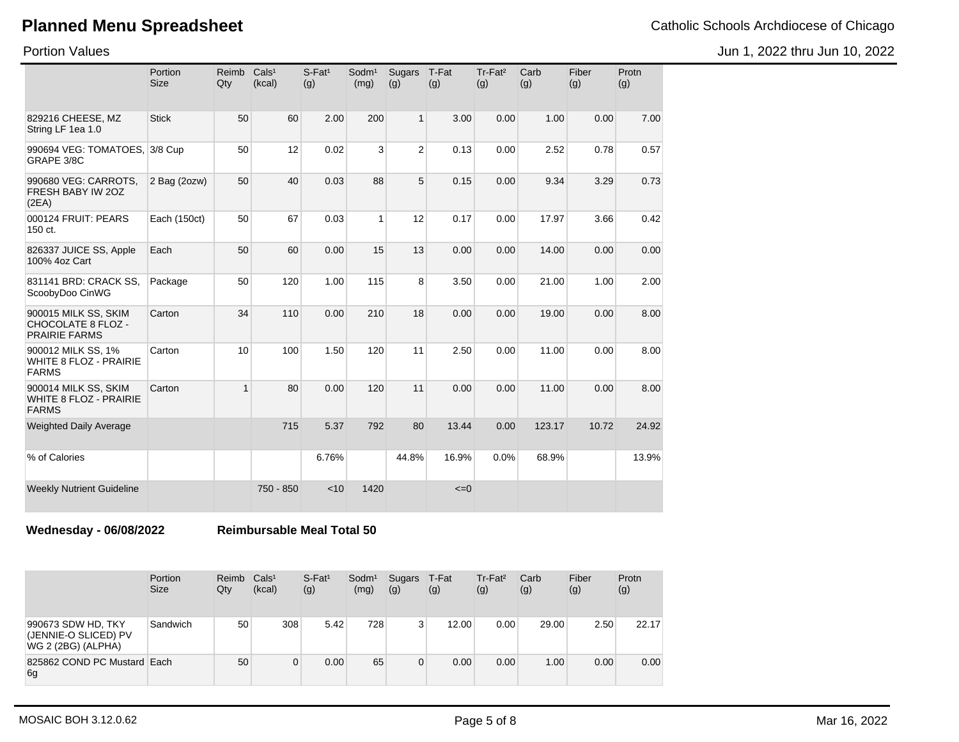Jun 1, 2022 thru Jun 10, 2022

Portion Values

|                                                                       | Portion<br><b>Size</b> | Reimb<br>Qty   | Cals <sup>1</sup><br>(kcal) | $S$ -Fat <sup>1</sup><br>(g) | Sodm <sup>1</sup><br>(mg) | <b>Sugars</b><br>(g) | T-Fat<br>(g) | Tr-Fat <sup>2</sup><br>(g) | Carb<br>(g) | Fiber<br>(g) | Protn<br>(g) |
|-----------------------------------------------------------------------|------------------------|----------------|-----------------------------|------------------------------|---------------------------|----------------------|--------------|----------------------------|-------------|--------------|--------------|
| 829216 CHEESE, MZ<br>String LF 1ea 1.0                                | <b>Stick</b>           | 50             | 60                          | 2.00                         | 200                       | $\mathbf{1}$         | 3.00         | 0.00                       | 1.00        | 0.00         | 7.00         |
| 990694 VEG: TOMATOES, 3/8 Cup<br>GRAPE 3/8C                           |                        | 50             | 12                          | 0.02                         | 3                         | $\overline{2}$       | 0.13         | 0.00                       | 2.52        | 0.78         | 0.57         |
| 990680 VEG: CARROTS,<br>FRESH BABY IW 2OZ<br>(2EA)                    | 2 Bag (2ozw)           | 50             | 40                          | 0.03                         | 88                        | 5                    | 0.15         | 0.00                       | 9.34        | 3.29         | 0.73         |
| 000124 FRUIT: PEARS<br>150 ct.                                        | Each (150ct)           | 50             | 67                          | 0.03                         | 1                         | 12                   | 0.17         | 0.00                       | 17.97       | 3.66         | 0.42         |
| 826337 JUICE SS, Apple<br>100% 4oz Cart                               | Each                   | 50             | 60                          | 0.00                         | 15                        | 13                   | 0.00         | 0.00                       | 14.00       | 0.00         | 0.00         |
| 831141 BRD: CRACK SS,<br>ScoobyDoo CinWG                              | Package                | 50             | 120                         | 1.00                         | 115                       | 8                    | 3.50         | 0.00                       | 21.00       | 1.00         | 2.00         |
| 900015 MILK SS, SKIM<br>CHOCOLATE 8 FLOZ -<br><b>PRAIRIE FARMS</b>    | Carton                 | 34             | 110                         | 0.00                         | 210                       | 18                   | 0.00         | 0.00                       | 19.00       | 0.00         | 8.00         |
| 900012 MILK SS, 1%<br><b>WHITE 8 FLOZ - PRAIRIE</b><br><b>FARMS</b>   | Carton                 | 10             | 100                         | 1.50                         | 120                       | 11                   | 2.50         | 0.00                       | 11.00       | 0.00         | 8.00         |
| 900014 MILK SS, SKIM<br><b>WHITE 8 FLOZ - PRAIRIE</b><br><b>FARMS</b> | Carton                 | $\overline{1}$ | 80                          | 0.00                         | 120                       | 11                   | 0.00         | 0.00                       | 11.00       | 0.00         | 8.00         |
| <b>Weighted Daily Average</b>                                         |                        |                | 715                         | 5.37                         | 792                       | 80                   | 13.44        | 0.00                       | 123.17      | 10.72        | 24.92        |
| % of Calories                                                         |                        |                |                             | 6.76%                        |                           | 44.8%                | 16.9%        | 0.0%                       | 68.9%       |              | 13.9%        |
| <b>Weekly Nutrient Guideline</b>                                      |                        |                | 750 - 850                   | < 10                         | 1420                      |                      | $\leq=0$     |                            |             |              |              |

**Wednesday - 06/08/2022 Reimbursable Meal Total 50**

|                                                                  | Portion<br><b>Size</b> | Reimb<br>Qty | Cals <sup>1</sup><br>(kcal) | $S$ -Fat <sup>1</sup><br>(g) | Sodm <sup>1</sup><br>(mg) | Sugars<br>(g) | T-Fat<br>(g) | $Tr-Fat2$<br>(g) | Carb<br>(g) | Fiber<br>(g) | Protn<br>(g) |
|------------------------------------------------------------------|------------------------|--------------|-----------------------------|------------------------------|---------------------------|---------------|--------------|------------------|-------------|--------------|--------------|
| 990673 SDW HD, TKY<br>(JENNIE-O SLICED) PV<br>WG 2 (2BG) (ALPHA) | Sandwich               | 50           | 308                         | 5.42                         | 728                       | 3             | 12.00        | 0.00             | 29.00       | 2.50         | 22.17        |
| 825862 COND PC Mustard Each<br>6g                                |                        | 50           | 0                           | 0.00                         | 65                        | 0             | 0.00         | 0.00             | 1.00        | 0.00         | 0.00         |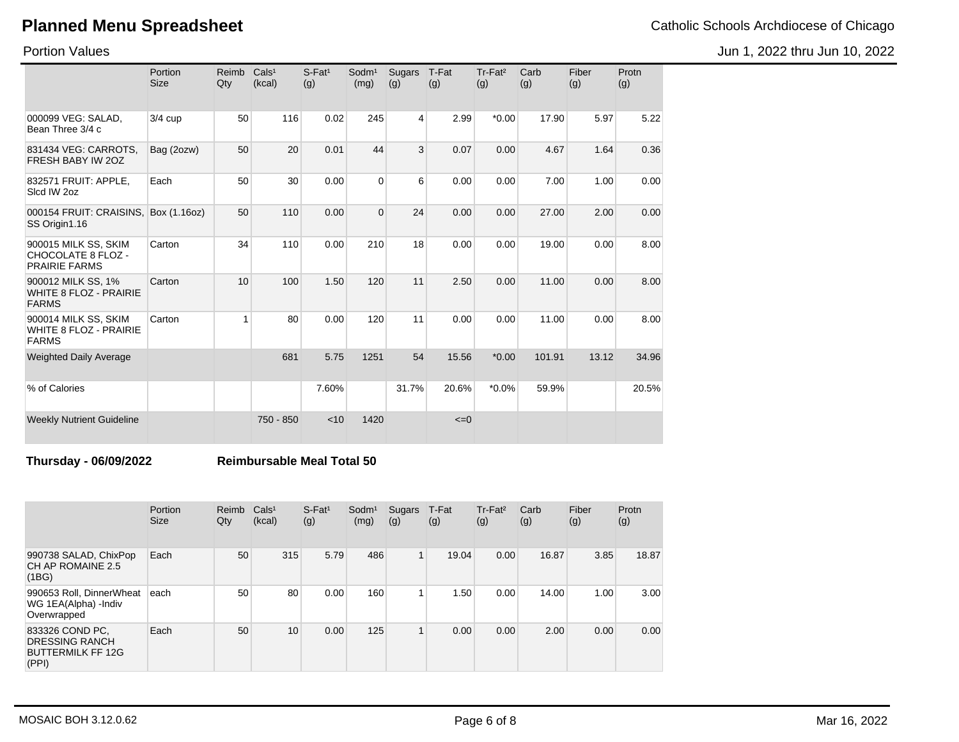Portion Values

|                                                                       | Portion<br><b>Size</b> | Reimb<br>Qty    | Cals <sup>1</sup><br>(kcal) | $S$ -Fat <sup>1</sup><br>(g) | Sodm <sup>1</sup><br>(mg) | Sugars<br>(g) | T-Fat<br>(g) | Tr-Fat <sup>2</sup><br>(g) | Carb<br>(g) | Fiber<br>(g) | Protn<br>(g) |
|-----------------------------------------------------------------------|------------------------|-----------------|-----------------------------|------------------------------|---------------------------|---------------|--------------|----------------------------|-------------|--------------|--------------|
| 000099 VEG: SALAD,<br>Bean Three 3/4 c                                | 3/4 cup                | 50              | 116                         | 0.02                         | 245                       | 4             | 2.99         | $*0.00$                    | 17.90       | 5.97         | 5.22         |
| 831434 VEG: CARROTS.<br>FRESH BABY IW 20Z                             | Bag (2ozw)             | 50              | 20                          | 0.01                         | 44                        | 3             | 0.07         | 0.00                       | 4.67        | 1.64         | 0.36         |
| 832571 FRUIT: APPLE,<br>Slcd IW 2oz                                   | Each                   | 50              | 30                          | 0.00                         | $\Omega$                  | 6             | 0.00         | 0.00                       | 7.00        | 1.00         | 0.00         |
| 000154 FRUIT: CRAISINS,<br>SS Origin1.16                              | Box (1.16oz)           | 50              | 110                         | 0.00                         | $\Omega$                  | 24            | 0.00         | 0.00                       | 27.00       | 2.00         | 0.00         |
| 900015 MILK SS, SKIM<br>CHOCOLATE 8 FLOZ -<br><b>PRAIRIE FARMS</b>    | Carton                 | 34              | 110                         | 0.00                         | 210                       | 18            | 0.00         | 0.00                       | 19.00       | 0.00         | 8.00         |
| 900012 MILK SS, 1%<br><b>WHITE 8 FLOZ - PRAIRIE</b><br><b>FARMS</b>   | Carton                 | 10 <sup>1</sup> | 100                         | 1.50                         | 120                       | 11            | 2.50         | 0.00                       | 11.00       | 0.00         | 8.00         |
| 900014 MILK SS, SKIM<br><b>WHITE 8 FLOZ - PRAIRIE</b><br><b>FARMS</b> | Carton                 | 4               | 80                          | 0.00                         | 120                       | 11            | 0.00         | 0.00                       | 11.00       | 0.00         | 8.00         |
| <b>Weighted Daily Average</b>                                         |                        |                 | 681                         | 5.75                         | 1251                      | 54            | 15.56        | $*0.00$                    | 101.91      | 13.12        | 34.96        |
| % of Calories                                                         |                        |                 |                             | 7.60%                        |                           | 31.7%         | 20.6%        | $*0.0\%$                   | 59.9%       |              | 20.5%        |
| <b>Weekly Nutrient Guideline</b>                                      |                        |                 | 750 - 850                   | < 10                         | 1420                      |               | $\leq=0$     |                            |             |              |              |

#### **Thursday - 06/09/2022 Reimbursable Meal Total 50**

|                                                                               | Portion<br><b>Size</b> | Reimb<br>Qty | Cals <sup>1</sup><br>(kcal) | $S$ -Fat <sup>1</sup><br>(g) | Sodm <sup>1</sup><br>(mg) | Sugars<br>(g) | T-Fat<br>(g) | Tr-Fat <sup>2</sup><br>(g) | Carb<br>(g) | Fiber<br>(g) | Protn<br>(g) |
|-------------------------------------------------------------------------------|------------------------|--------------|-----------------------------|------------------------------|---------------------------|---------------|--------------|----------------------------|-------------|--------------|--------------|
| 990738 SALAD, ChixPop<br>CH AP ROMAINE 2.5<br>(1BG)                           | Each                   | 50           | 315                         | 5.79                         | 486                       | $\mathbf{1}$  | 19.04        | 0.00                       | 16.87       | 3.85         | 18.87        |
| 990653 Roll, DinnerWheat<br>WG 1EA(Alpha) - Indiv<br>Overwrapped              | each                   | 50           | 80                          | 0.00                         | 160                       |               | 1.50         | 0.00                       | 14.00       | 1.00         | 3.00         |
| 833326 COND PC,<br><b>DRESSING RANCH</b><br><b>BUTTERMILK FF 12G</b><br>(PPI) | Each                   | 50           | 10                          | 0.00                         | 125                       | 1             | 0.00         | 0.00                       | 2.00        | 0.00         | 0.00         |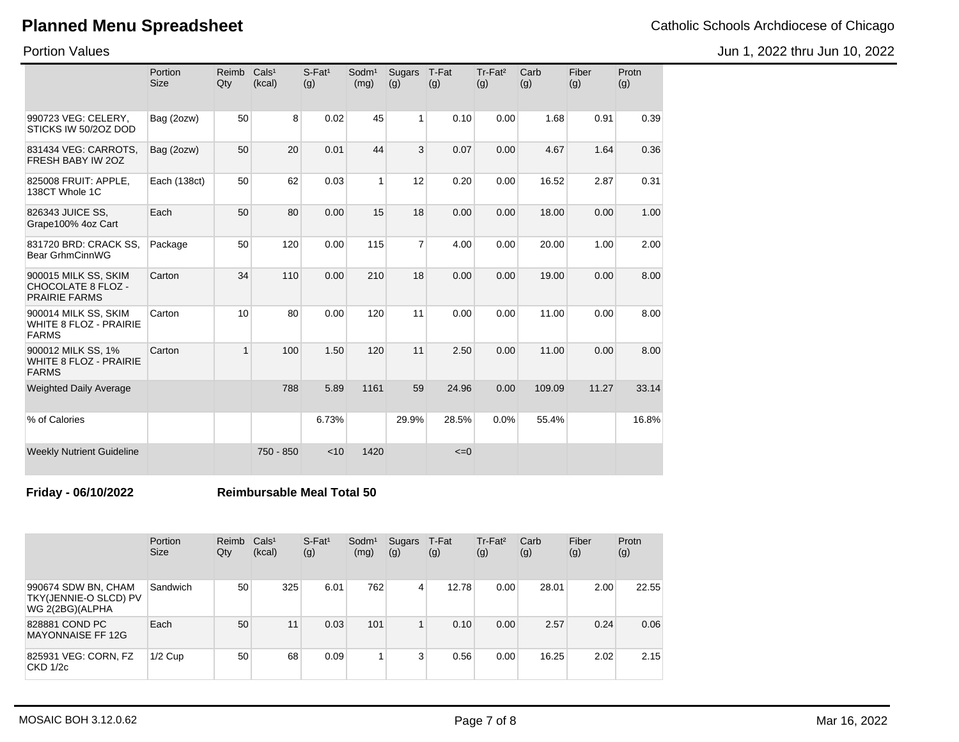Portion Values

|                                                                           | Portion<br><b>Size</b> | Reimb<br>Qty | Cals <sup>1</sup><br>(kcal) | $S$ -Fat <sup>1</sup><br>(g) | Sodm <sup>1</sup><br>(mg) | Sugars<br>(g)  | T-Fat<br>(g) | Tr-Fat <sup>2</sup><br>(g) | Carb<br>(g) | Fiber<br>(g) | Protn<br>(g) |
|---------------------------------------------------------------------------|------------------------|--------------|-----------------------------|------------------------------|---------------------------|----------------|--------------|----------------------------|-------------|--------------|--------------|
| 990723 VEG: CELERY,<br>STICKS IW 50/2OZ DOD                               | Bag (2ozw)             | 50           | 8                           | 0.02                         | 45                        | 1              | 0.10         | 0.00                       | 1.68        | 0.91         | 0.39         |
| 831434 VEG: CARROTS,<br>FRESH BABY IW 20Z                                 | Bag (2ozw)             | 50           | 20                          | 0.01                         | 44                        | 3              | 0.07         | 0.00                       | 4.67        | 1.64         | 0.36         |
| 825008 FRUIT: APPLE,<br>138CT Whole 1C                                    | Each (138ct)           | 50           | 62                          | 0.03                         | $\mathbf{1}$              | 12             | 0.20         | 0.00                       | 16.52       | 2.87         | 0.31         |
| 826343 JUICE SS,<br>Grape100% 4oz Cart                                    | Each                   | 50           | 80                          | 0.00                         | 15                        | 18             | 0.00         | 0.00                       | 18.00       | 0.00         | 1.00         |
| 831720 BRD: CRACK SS,<br><b>Bear GrhmCinnWG</b>                           | Package                | 50           | 120                         | 0.00                         | 115                       | $\overline{7}$ | 4.00         | 0.00                       | 20.00       | 1.00         | 2.00         |
| 900015 MILK SS, SKIM<br><b>CHOCOLATE 8 FLOZ -</b><br><b>PRAIRIE FARMS</b> | Carton                 | 34           | 110                         | 0.00                         | 210                       | 18             | 0.00         | 0.00                       | 19.00       | 0.00         | 8.00         |
| 900014 MILK SS, SKIM<br><b>WHITE 8 FLOZ - PRAIRIE</b><br><b>FARMS</b>     | Carton                 | 10           | 80                          | 0.00                         | 120                       | 11             | 0.00         | 0.00                       | 11.00       | 0.00         | 8.00         |
| 900012 MILK SS, 1%<br><b>WHITE 8 FLOZ - PRAIRIE</b><br><b>FARMS</b>       | Carton                 | $\mathbf{1}$ | 100                         | 1.50                         | 120                       | 11             | 2.50         | 0.00                       | 11.00       | 0.00         | 8.00         |
| <b>Weighted Daily Average</b>                                             |                        |              | 788                         | 5.89                         | 1161                      | 59             | 24.96        | 0.00                       | 109.09      | 11.27        | 33.14        |
| % of Calories                                                             |                        |              |                             | 6.73%                        |                           | 29.9%          | 28.5%        | 0.0%                       | 55.4%       |              | 16.8%        |
| <b>Weekly Nutrient Guideline</b>                                          |                        |              | 750 - 850                   | < 10                         | 1420                      |                | $\leq=0$     |                            |             |              |              |

**Friday - 06/10/2022 Reimbursable Meal Total 50**

|                                                                 | Portion<br><b>Size</b> | Reimb<br>Qty | Cals <sup>1</sup><br>(kcal) | $S$ -Fat <sup>1</sup><br>(g) | Sodm <sup>1</sup><br>(mg) | Sugars<br>(g) | T-Fat<br>(g) | $Tr-Fat2$<br>(g) | Carb<br>(g) | Fiber<br>(g) | Protn<br>(g) |
|-----------------------------------------------------------------|------------------------|--------------|-----------------------------|------------------------------|---------------------------|---------------|--------------|------------------|-------------|--------------|--------------|
| 990674 SDW BN, CHAM<br>TKY(JENNIE-O SLCD) PV<br>WG 2(2BG)(ALPHA | Sandwich               | 50           | 325                         | 6.01                         | 762                       | 4             | 12.78        | 0.00             | 28.01       | 2.00         | 22.55        |
| 828881 COND PC<br><b>MAYONNAISE FF 12G</b>                      | Each                   | 50           | 11                          | 0.03                         | 101                       | 1             | 0.10         | 0.00             | 2.57        | 0.24         | 0.06         |
| 825931 VEG: CORN, FZ<br>CKD 1/2c                                | $1/2$ Cup              | 50           | 68                          | 0.09                         |                           | 3             | 0.56         | 0.00             | 16.25       | 2.02         | 2.15         |